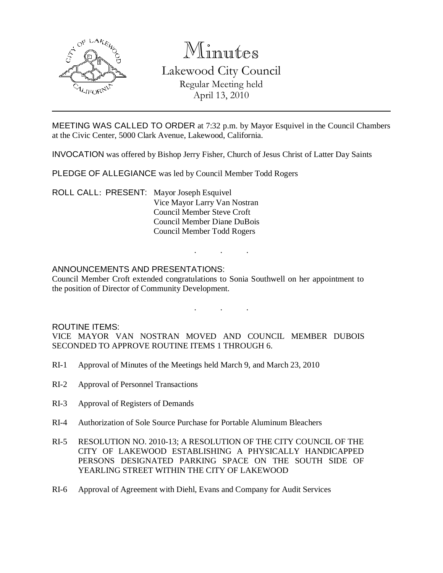

# Minutes Lakewood City Council

Regular Meeting held April 13, 2010

MEETING WAS CALLED TO ORDER at 7:32 p.m. by Mayor Esquivel in the Council Chambers at the Civic Center, 5000 Clark Avenue, Lakewood, California.

INVOCATION was offered by Bishop Jerry Fisher, Church of Jesus Christ of Latter Day Saints

PLEDGE OF ALLEGIANCE was led by Council Member Todd Rogers

ROLL CALL: PRESENT: Mayor Joseph Esquivel Vice Mayor Larry Van Nostran Council Member Steve Croft Council Member Diane DuBois Council Member Todd Rogers

### ANNOUNCEMENTS AND PRESENTATIONS:

Council Member Croft extended congratulations to Sonia Southwell on her appointment to the position of Director of Community Development.

. . .

. . .

#### ROUTINE ITEMS:

VICE MAYOR VAN NOSTRAN MOVED AND COUNCIL MEMBER DUBOIS SECONDED TO APPROVE ROUTINE ITEMS 1 THROUGH 6.

- RI-1 Approval of Minutes of the Meetings held March 9, and March 23, 2010
- RI-2 Approval of Personnel Transactions
- RI-3 Approval of Registers of Demands
- RI-4 Authorization of Sole Source Purchase for Portable Aluminum Bleachers
- RI-5 RESOLUTION NO. 2010-13; A RESOLUTION OF THE CITY COUNCIL OF THE CITY OF LAKEWOOD ESTABLISHING A PHYSICALLY HANDICAPPED PERSONS DESIGNATED PARKING SPACE ON THE SOUTH SIDE OF YEARLING STREET WITHIN THE CITY OF LAKEWOOD
- RI-6 Approval of Agreement with Diehl, Evans and Company for Audit Services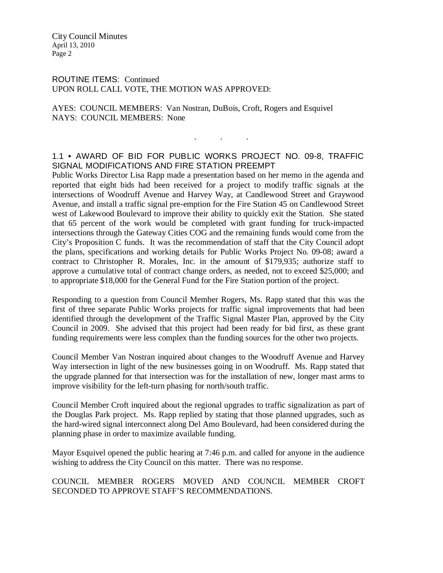City Council Minutes April 13, 2010 Page 2

ROUTINE ITEMS: Continued UPON ROLL CALL VOTE, THE MOTION WAS APPROVED:

AYES: COUNCIL MEMBERS: Van Nostran, DuBois, Croft, Rogers and Esquivel NAYS: COUNCIL MEMBERS: None

## 1.1 • AWARD OF BID FOR PUBLIC WORKS PROJECT NO. 09-8, TRAFFIC SIGNAL MODIFICATIONS AND FIRE STATION PREEMPT

. . .

Public Works Director Lisa Rapp made a presentation based on her memo in the agenda and reported that eight bids had been received for a project to modify traffic signals at the intersections of Woodruff Avenue and Harvey Way, at Candlewood Street and Graywood Avenue, and install a traffic signal pre-emption for the Fire Station 45 on Candlewood Street west of Lakewood Boulevard to improve their ability to quickly exit the Station. She stated that 65 percent of the work would be completed with grant funding for truck-impacted intersections through the Gateway Cities COG and the remaining funds would come from the City's Proposition C funds. It was the recommendation of staff that the City Council adopt the plans, specifications and working details for Public Works Project No. 09-08; award a contract to Christopher R. Morales, Inc. in the amount of \$179,935; authorize staff to approve a cumulative total of contract change orders, as needed, not to exceed \$25,000; and to appropriate \$18,000 for the General Fund for the Fire Station portion of the project.

Responding to a question from Council Member Rogers, Ms. Rapp stated that this was the first of three separate Public Works projects for traffic signal improvements that had been identified through the development of the Traffic Signal Master Plan, approved by the City Council in 2009. She advised that this project had been ready for bid first, as these grant funding requirements were less complex than the funding sources for the other two projects.

Council Member Van Nostran inquired about changes to the Woodruff Avenue and Harvey Way intersection in light of the new businesses going in on Woodruff. Ms. Rapp stated that the upgrade planned for that intersection was for the installation of new, longer mast arms to improve visibility for the left-turn phasing for north/south traffic.

Council Member Croft inquired about the regional upgrades to traffic signalization as part of the Douglas Park project. Ms. Rapp replied by stating that those planned upgrades, such as the hard-wired signal interconnect along Del Amo Boulevard, had been considered during the planning phase in order to maximize available funding.

Mayor Esquivel opened the public hearing at 7:46 p.m. and called for anyone in the audience wishing to address the City Council on this matter. There was no response.

#### COUNCIL MEMBER ROGERS MOVED AND COUNCIL MEMBER CROFT SECONDED TO APPROVE STAFF'S RECOMMENDATIONS.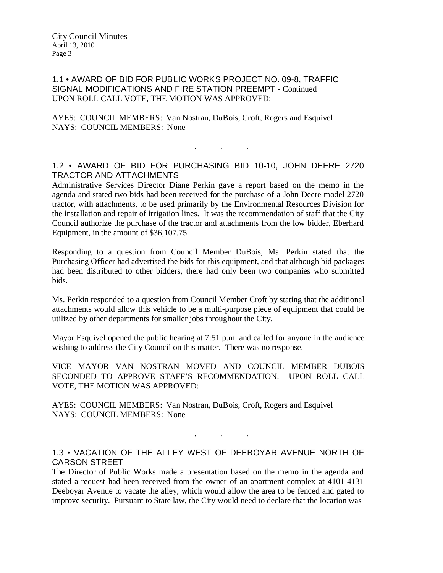#### 1.1 • AWARD OF BID FOR PUBLIC WORKS PROJECT NO. 09-8, TRAFFIC SIGNAL MODIFICATIONS AND FIRE STATION PREEMPT - Continued UPON ROLL CALL VOTE, THE MOTION WAS APPROVED:

AYES: COUNCIL MEMBERS: Van Nostran, DuBois, Croft, Rogers and Esquivel NAYS: COUNCIL MEMBERS: None

#### 1.2 • AWARD OF BID FOR PURCHASING BID 10-10, JOHN DEERE 2720 TRACTOR AND ATTACHMENTS

 $\mathbf{r}$  .  $\mathbf{r}$  ,  $\mathbf{r}$  ,  $\mathbf{r}$  ,  $\mathbf{r}$  ,  $\mathbf{r}$  ,  $\mathbf{r}$ 

Administrative Services Director Diane Perkin gave a report based on the memo in the agenda and stated two bids had been received for the purchase of a John Deere model 2720 tractor, with attachments, to be used primarily by the Environmental Resources Division for the installation and repair of irrigation lines. It was the recommendation of staff that the City Council authorize the purchase of the tractor and attachments from the low bidder, Eberhard Equipment, in the amount of \$36,107.75

Responding to a question from Council Member DuBois, Ms. Perkin stated that the Purchasing Officer had advertised the bids for this equipment, and that although bid packages had been distributed to other bidders, there had only been two companies who submitted bids.

Ms. Perkin responded to a question from Council Member Croft by stating that the additional attachments would allow this vehicle to be a multi-purpose piece of equipment that could be utilized by other departments for smaller jobs throughout the City.

Mayor Esquivel opened the public hearing at 7:51 p.m. and called for anyone in the audience wishing to address the City Council on this matter. There was no response.

VICE MAYOR VAN NOSTRAN MOVED AND COUNCIL MEMBER DUBOIS SECONDED TO APPROVE STAFF'S RECOMMENDATION. UPON ROLL CALL VOTE, THE MOTION WAS APPROVED:

AYES: COUNCIL MEMBERS: Van Nostran, DuBois, Croft, Rogers and Esquivel NAYS: COUNCIL MEMBERS: None

#### 1.3 • VACATION OF THE ALLEY WEST OF DEEBOYAR AVENUE NORTH OF CARSON STREET

. . .

The Director of Public Works made a presentation based on the memo in the agenda and stated a request had been received from the owner of an apartment complex at 4101-4131 Deeboyar Avenue to vacate the alley, which would allow the area to be fenced and gated to improve security. Pursuant to State law, the City would need to declare that the location was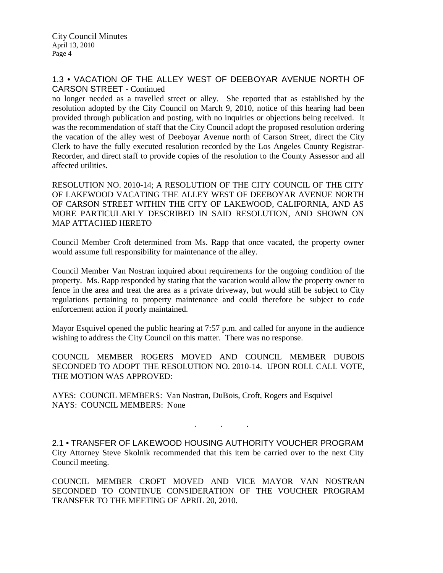#### 1.3 • VACATION OF THE ALLEY WEST OF DEEBOYAR AVENUE NORTH OF CARSON STREET - Continued

no longer needed as a travelled street or alley. She reported that as established by the resolution adopted by the City Council on March 9, 2010, notice of this hearing had been provided through publication and posting, with no inquiries or objections being received. It was the recommendation of staff that the City Council adopt the proposed resolution ordering the vacation of the alley west of Deeboyar Avenue north of Carson Street, direct the City Clerk to have the fully executed resolution recorded by the Los Angeles County Registrar-Recorder, and direct staff to provide copies of the resolution to the County Assessor and all affected utilities.

RESOLUTION NO. 2010-14; A RESOLUTION OF THE CITY COUNCIL OF THE CITY OF LAKEWOOD VACATING THE ALLEY WEST OF DEEBOYAR AVENUE NORTH OF CARSON STREET WITHIN THE CITY OF LAKEWOOD, CALIFORNIA, AND AS MORE PARTICULARLY DESCRIBED IN SAID RESOLUTION, AND SHOWN ON MAP ATTACHED HERETO

Council Member Croft determined from Ms. Rapp that once vacated, the property owner would assume full responsibility for maintenance of the alley.

Council Member Van Nostran inquired about requirements for the ongoing condition of the property. Ms. Rapp responded by stating that the vacation would allow the property owner to fence in the area and treat the area as a private driveway, but would still be subject to City regulations pertaining to property maintenance and could therefore be subject to code enforcement action if poorly maintained.

Mayor Esquivel opened the public hearing at 7:57 p.m. and called for anyone in the audience wishing to address the City Council on this matter. There was no response.

COUNCIL MEMBER ROGERS MOVED AND COUNCIL MEMBER DUBOIS SECONDED TO ADOPT THE RESOLUTION NO. 2010-14. UPON ROLL CALL VOTE, THE MOTION WAS APPROVED:

AYES: COUNCIL MEMBERS: Van Nostran, DuBois, Croft, Rogers and Esquivel NAYS: COUNCIL MEMBERS: None

2.1 • TRANSFER OF LAKEWOOD HOUSING AUTHORITY VOUCHER PROGRAM City Attorney Steve Skolnik recommended that this item be carried over to the next City Council meeting.

. . .

COUNCIL MEMBER CROFT MOVED AND VICE MAYOR VAN NOSTRAN SECONDED TO CONTINUE CONSIDERATION OF THE VOUCHER PROGRAM TRANSFER TO THE MEETING OF APRIL 20, 2010.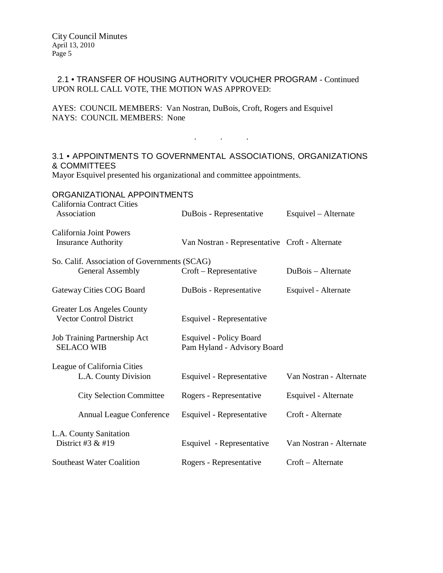#### 2.1 • TRANSFER OF HOUSING AUTHORITY VOUCHER PROGRAM - Continued UPON ROLL CALL VOTE, THE MOTION WAS APPROVED:

AYES: COUNCIL MEMBERS: Van Nostran, DuBois, Croft, Rogers and Esquivel NAYS: COUNCIL MEMBERS: None

# 3.1 • APPOINTMENTS TO GOVERNMENTAL ASSOCIATIONS, ORGANIZATIONS & COMMITTEES

. . .

Mayor Esquivel presented his organizational and committee appointments.

| ORGANIZATIONAL APPOINTMENTS<br><b>California Contract Cities</b>        |                                                               |                         |
|-------------------------------------------------------------------------|---------------------------------------------------------------|-------------------------|
| Association                                                             | DuBois - Representative                                       | Esquivel – Alternate    |
| California Joint Powers<br><b>Insurance Authority</b>                   | Van Nostran - Representative Croft - Alternate                |                         |
| So. Calif. Association of Governments (SCAG)<br><b>General Assembly</b> | $Croft$ – Representative                                      | DuBois - Alternate      |
| Gateway Cities COG Board                                                | DuBois - Representative                                       | Esquivel - Alternate    |
| Greater Los Angeles County<br><b>Vector Control District</b>            | Esquivel - Representative                                     |                         |
| Job Training Partnership Act<br><b>SELACO WIB</b>                       | <b>Esquivel - Policy Board</b><br>Pam Hyland - Advisory Board |                         |
| League of California Cities<br>L.A. County Division                     | Esquivel - Representative                                     | Van Nostran - Alternate |
| <b>City Selection Committee</b>                                         | Rogers - Representative                                       | Esquivel - Alternate    |
| <b>Annual League Conference</b>                                         | Esquivel - Representative                                     | Croft - Alternate       |
| L.A. County Sanitation<br>District #3 $&$ #19                           | Esquivel - Representative                                     | Van Nostran - Alternate |
| <b>Southeast Water Coalition</b>                                        | Rogers - Representative                                       | Croft – Alternate       |